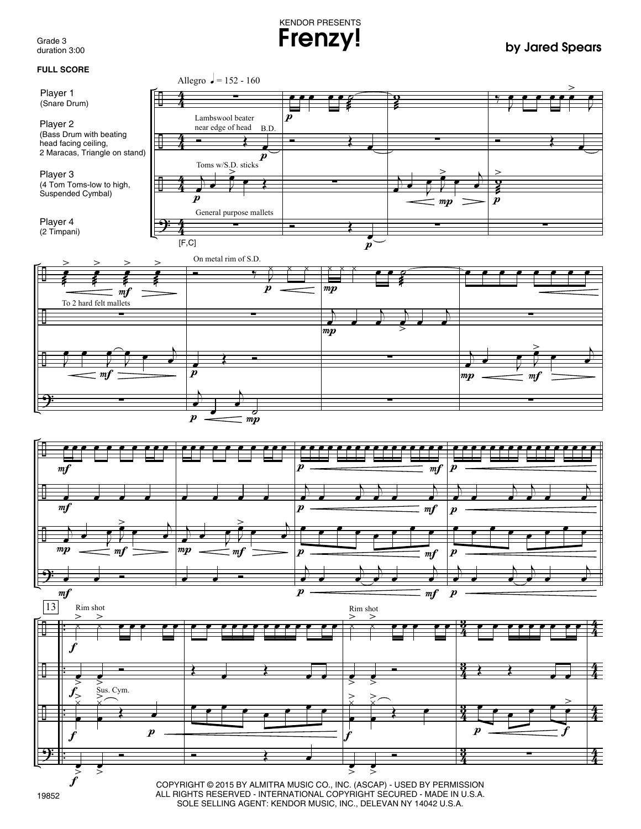Grade 3 duration 3:00

KENDOR PRESENTS **Frenzy! by Jared Spears**



SOLE SELLING AGENT: KENDOR MUSIC, INC., DELEVAN NY 14042 U.S.A.